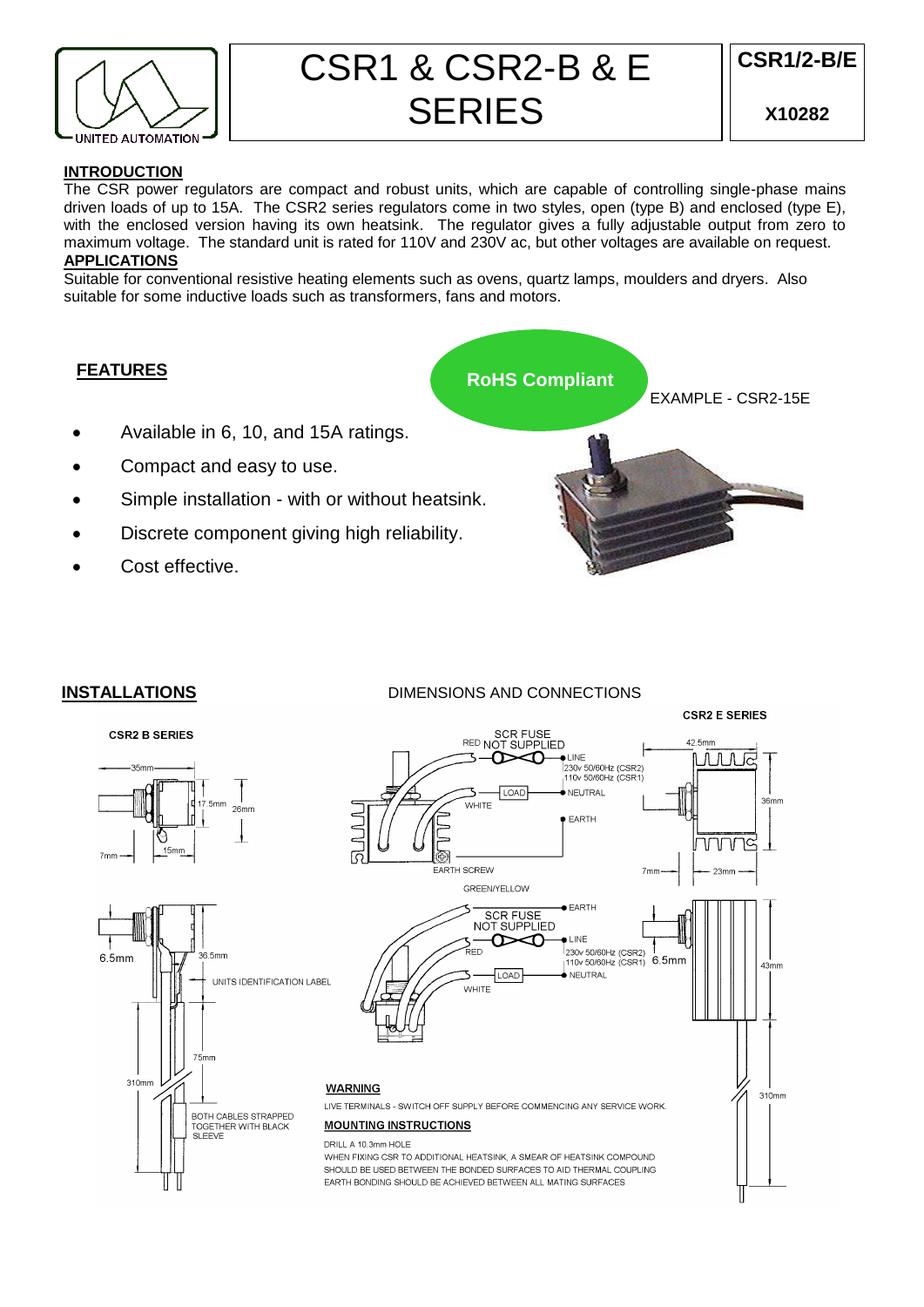

# CSR1 & CSR2-B & E **SERIES**

## **INTRODUCTION**

The CSR power regulators are compact and robust units, which are capable of controlling single-phase mains driven loads of up to 15A. The CSR2 series regulators come in two styles, open (type B) and enclosed (type E), with the enclosed version having its own heatsink. The regulator gives a fully adjustable output from zero to maximum voltage. The standard unit is rated for 110V and 230V ac, but other voltages are available on request.

# **APPLICATIONS**

Suitable for conventional resistive heating elements such as ovens, quartz lamps, moulders and dryers. Also suitable for some inductive loads such as transformers, fans and motors.

# **FEATURES**

**RoHS Compliant**

- Available in 6, 10, and 15A ratings.
- Compact and easy to use.
- Simple installation with or without heatsink.
- Discrete component giving high reliability.
- Cost effective.



# **INSTALLATIONS** DIMENSIONS AND CONNECTIONS

**CSR2 B SERIES**